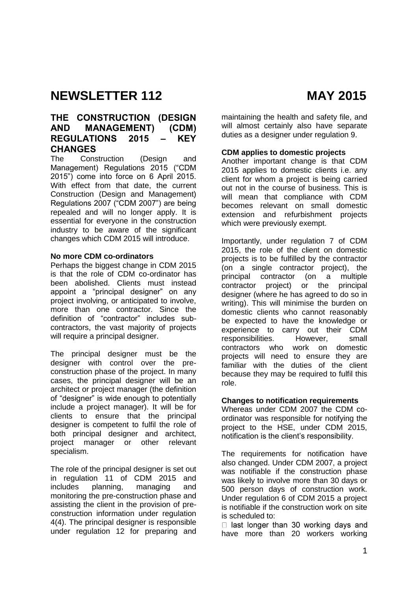# **THE CONSTRUCTION (DESIGN AND MANAGEMENT) (CDM) REGULATIONS 2015 – KEY CHANGES**

The Construction (Design and Management) Regulations 2015 ("CDM 2015") come into force on 6 April 2015. With effect from that date, the current Construction (Design and Management) Regulations 2007 ("CDM 2007") are being repealed and will no longer apply. It is essential for everyone in the construction industry to be aware of the significant changes which CDM 2015 will introduce.

#### **No more CDM co-ordinators**

Perhaps the biggest change in CDM 2015 is that the role of CDM co-ordinator has been abolished. Clients must instead appoint a "principal designer" on any project involving, or anticipated to involve, more than one contractor. Since the definition of "contractor" includes subcontractors, the vast majority of projects will require a principal designer.

The principal designer must be the designer with control over the preconstruction phase of the project. In many cases, the principal designer will be an architect or project manager (the definition of "designer" is wide enough to potentially include a project manager). It will be for clients to ensure that the principal designer is competent to fulfil the role of both principal designer and architect, project manager or other relevant specialism.

The role of the principal designer is set out in regulation 11 of CDM 2015 and includes planning, managing and monitoring the pre-construction phase and assisting the client in the provision of preconstruction information under regulation 4(4). The principal designer is responsible under regulation 12 for preparing and maintaining the health and safety file, and will almost certainly also have separate duties as a designer under regulation 9.

### **CDM applies to domestic projects**

Another important change is that CDM 2015 applies to domestic clients i.e. any client for whom a project is being carried out not in the course of business. This is will mean that compliance with CDM becomes relevant on small domestic extension and refurbishment projects which were previously exempt.

Importantly, under regulation 7 of CDM 2015, the role of the client on domestic projects is to be fulfilled by the contractor (on a single contractor project), the principal contractor (on a multiple contractor project) or the principal designer (where he has agreed to do so in writing). This will minimise the burden on domestic clients who cannot reasonably be expected to have the knowledge or experience to carry out their CDM responsibilities. However, small contractors who work on domestic projects will need to ensure they are familiar with the duties of the client because they may be required to fulfil this role.

### **Changes to notification requirements**

Whereas under CDM 2007 the CDM coordinator was responsible for notifying the project to the HSE, under CDM 2015, notification is the client's responsibility.

The requirements for notification have also changed. Under CDM 2007, a project was notifiable if the construction phase was likely to involve more than 30 days or 500 person days of construction work. Under regulation 6 of CDM 2015 a project is notifiable if the construction work on site is scheduled to:

 $\Box$  last longer than 30 working days and have more than 20 workers working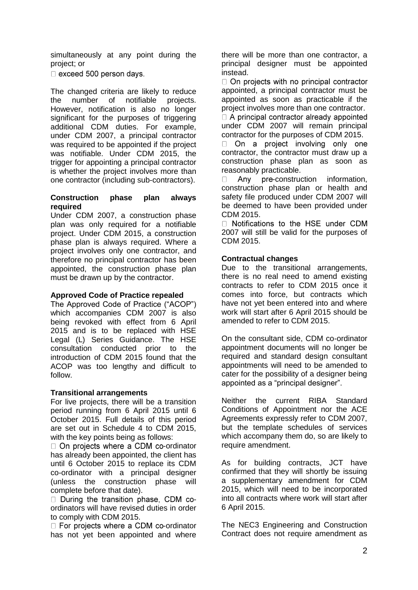simultaneously at any point during the project; or

 $\Box$  exceed 500 person days.

The changed criteria are likely to reduce the number of notifiable projects. However, notification is also no longer significant for the purposes of triggering additional CDM duties. For example, under CDM 2007, a principal contractor was required to be appointed if the project was notifiable. Under CDM 2015, the trigger for appointing a principal contractor is whether the project involves more than one contractor (including sub-contractors).

#### **Construction phase plan always required**

Under CDM 2007, a construction phase plan was only required for a notifiable project. Under CDM 2015, a construction phase plan is always required. Where a project involves only one contractor, and therefore no principal contractor has been appointed, the construction phase plan must be drawn up by the contractor.

### **Approved Code of Practice repealed**

The Approved Code of Practice ("ACOP") which accompanies CDM 2007 is also being revoked with effect from 6 April 2015 and is to be replaced with HSE Legal (L) Series Guidance. The HSE consultation conducted prior to the introduction of CDM 2015 found that the ACOP was too lengthy and difficult to follow.

### **Transitional arrangements**

For live projects, there will be a transition period running from 6 April 2015 until 6 October 2015. Full details of this period are set out in Schedule 4 to CDM 2015, with the key points being as follows:

 $\Box$  On projects where a CDM co-ordinator has already been appointed, the client has until 6 October 2015 to replace its CDM co-ordinator with a principal designer (unless the construction phase will complete before that date).

During the transition phase. CDM coordinators will have revised duties in order to comply with CDM 2015.

 $\Box$  For projects where a CDM co-ordinator has not yet been appointed and where there will be more than one contractor, a principal designer must be appointed instead.

 $\Box$  On projects with no principal contractor appointed, a principal contractor must be appointed as soon as practicable if the project involves more than one contractor.  $\Box$  A principal contractor already appointed under CDM 2007 will remain principal contractor for the purposes of CDM 2015.

 $\Box$ On a project involving only one contractor, the contractor must draw up a construction phase plan as soon as reasonably practicable.

Any pre-construction information,  $\Box$ construction phase plan or health and safety file produced under CDM 2007 will be deemed to have been provided under CDM 2015.

□ Notifications to the HSE under CDM 2007 will still be valid for the purposes of CDM 2015.

### **Contractual changes**

Due to the transitional arrangements, there is no real need to amend existing contracts to refer to CDM 2015 once it comes into force, but contracts which have not yet been entered into and where work will start after 6 April 2015 should be amended to refer to CDM 2015.

On the consultant side, CDM co-ordinator appointment documents will no longer be required and standard design consultant appointments will need to be amended to cater for the possibility of a designer being appointed as a "principal designer".

Neither the current RIBA Standard Conditions of Appointment nor the ACE Agreements expressly refer to CDM 2007, but the template schedules of services which accompany them do, so are likely to require amendment.

As for building contracts, JCT have confirmed that they will shortly be issuing a supplementary amendment for CDM 2015, which will need to be incorporated into all contracts where work will start after 6 April 2015.

The NEC3 Engineering and Construction Contract does not require amendment as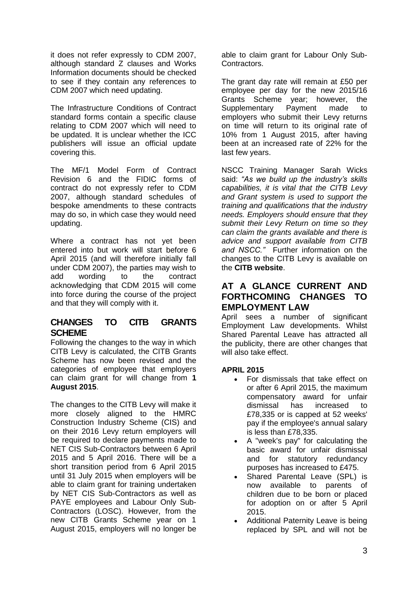it does not refer expressly to CDM 2007, although standard Z clauses and Works Information documents should be checked to see if they contain any references to CDM 2007 which need updating.

The Infrastructure Conditions of Contract standard forms contain a specific clause relating to CDM 2007 which will need to be updated. It is unclear whether the ICC publishers will issue an official update covering this.

The MF/1 Model Form of Contract Revision 6 and the FIDIC forms of contract do not expressly refer to CDM 2007, although standard schedules of bespoke amendments to these contracts may do so, in which case they would need updating.

Where a contract has not yet been entered into but work will start before 6 April 2015 (and will therefore initially fall under CDM 2007), the parties may wish to add wording to the contract acknowledging that CDM 2015 will come into force during the course of the project and that they will comply with it.

# **CHANGES TO CITB GRANTS SCHEME**

Following the changes to the way in which CITB Levy is calculated, the CITB Grants Scheme has now been revised and the categories of employee that employers can claim grant for will change from **1 August 2015**.

The changes to the CITB Levy will make it more closely aligned to the HMRC Construction Industry Scheme (CIS) and on their 2016 Levy return employers will be required to declare payments made to NET CIS Sub-Contractors between 6 April 2015 and 5 April 2016. There will be a short transition period from 6 April 2015 until 31 July 2015 when employers will be able to claim grant for training undertaken by NET CIS Sub-Contractors as well as PAYE employees and Labour Only Sub-Contractors (LOSC). However, from the new CITB Grants Scheme year on 1 August 2015, employers will no longer be

able to claim grant for Labour Only Sub-Contractors.

The grant day rate will remain at £50 per employee per day for the new 2015/16 Grants Scheme year; however, the Supplementary Payment made to employers who submit their Levy returns on time will return to its original rate of 10% from 1 August 2015, after having been at an increased rate of 22% for the last few years.

NSCC Training Manager Sarah Wicks said: *"As we build up the industry's skills capabilities, it is vital that the CITB Levy and Grant system is used to support the training and qualifications that the industry needs. Employers should ensure that they submit their Levy Return on time so they can claim the grants available and there is advice and support available from CITB and NSCC."* Further information on the changes to the CITB Levy is available on the **[CITB website](http://www.citb.co.uk/levy-grant/levy-simplification/)**.

# **AT A GLANCE CURRENT AND FORTHCOMING CHANGES TO EMPLOYMENT LAW**

April sees a number of significant Employment Law developments. Whilst Shared Parental Leave has attracted all the publicity, there are other changes that will also take effect.

### **APRIL 2015**

- For dismissals that take effect on or after 6 April 2015, the maximum compensatory award for unfair dismissal has increased to £78,335 or is capped at 52 weeks' pay if the employee's annual salary is less than £78,335.
- A "week's pay" for calculating the basic award for unfair dismissal and for statutory redundancy purposes has increased to £475.
- Shared Parental Leave (SPL) is now available to parents of children due to be born or placed for adoption on or after 5 April 2015.
- Additional Paternity Leave is being replaced by SPL and will not be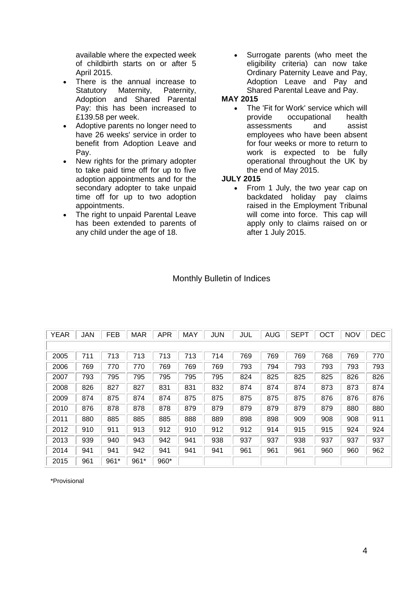available where the expected week of childbirth starts on or after 5 April 2015.

- There is the annual increase to Statutory Maternity, Paternity, Adoption and Shared Parental Pay: this has been increased to £139.58 per week.
- Adoptive parents no longer need to have 26 weeks' service in order to benefit from Adoption Leave and Pay.
- New rights for the primary adopter to take paid time off for up to five adoption appointments and for the secondary adopter to take unpaid time off for up to two adoption appointments.
- The right to unpaid Parental Leave has been extended to parents of any child under the age of 18.

 Surrogate parents (who meet the eligibility criteria) can now take Ordinary Paternity Leave and Pay, Adoption Leave and Pay and Shared Parental Leave and Pay.

### **MAY 2015**

• The 'Fit for Work' service which will provide occupational health assessments and assist employees who have been absent for four weeks or more to return to work is expected to be fully operational throughout the UK by the end of May 2015.

### **JULY 2015**

• From 1 July, the two year cap on backdated holiday pay claims raised in the Employment Tribunal will come into force. This cap will apply only to claims raised on or after 1 July 2015.

| <b>YEAR</b> | <b>JAN</b> | <b>FEB</b> | <b>MAR</b> | <b>APR</b> | MAY | <b>JUN</b> | JUL | <b>AUG</b> | <b>SEPT</b> | OCT | <b>NOV</b> | <b>DEC</b> |
|-------------|------------|------------|------------|------------|-----|------------|-----|------------|-------------|-----|------------|------------|
|             |            |            |            |            |     |            |     |            |             |     |            |            |
| 2005        | 711        | 713        | 713        | 713        | 713 | 714        | 769 | 769        | 769         | 768 | 769        | 770        |
| 2006        | 769        | 770        | 770        | 769        | 769 | 769        | 793 | 794        | 793         | 793 | 793        | 793        |
| 2007        | 793        | 795        | 795        | 795        | 795 | 795        | 824 | 825        | 825         | 825 | 826        | 826        |
| 2008        | 826        | 827        | 827        | 831        | 831 | 832        | 874 | 874        | 874         | 873 | 873        | 874        |
| 2009        | 874        | 875        | 874        | 874        | 875 | 875        | 875 | 875        | 875         | 876 | 876        | 876        |
| 2010        | 876        | 878        | 878        | 878        | 879 | 879        | 879 | 879        | 879         | 879 | 880        | 880        |
| 2011        | 880        | 885        | 885        | 885        | 888 | 889        | 898 | 898        | 909         | 908 | 908        | 911        |
| 2012        | 910        | 911        | 913        | 912        | 910 | 912        | 912 | 914        | 915         | 915 | 924        | 924        |
| 2013        | 939        | 940        | 943        | 942        | 941 | 938        | 937 | 937        | 938         | 937 | 937        | 937        |
| 2014        | 941        | 941        | 942        | 941        | 941 | 941        | 961 | 961        | 961         | 960 | 960        | 962        |
| 2015        | 961        | 961*       | $961*$     | 960*       |     |            |     |            |             |     |            |            |

## Monthly Bulletin of Indices

\*Provisional